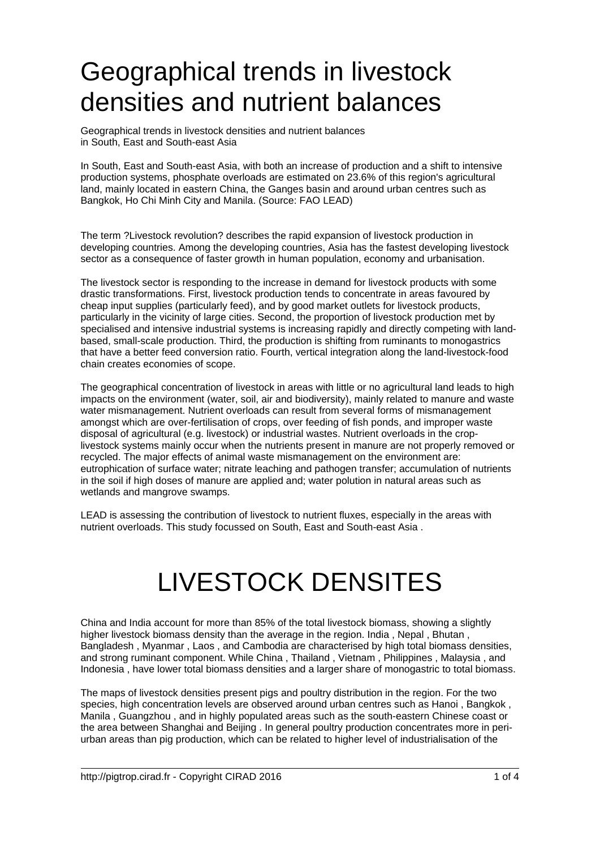## Geographical trends in livestock densities and nutrient balances

Geographical trends in livestock densities and nutrient balances in South, East and South-east Asia

In South, East and South-east Asia, with both an increase of production and a shift to intensive production systems, phosphate overloads are estimated on 23.6% of this region's agricultural land, mainly located in eastern China, the Ganges basin and around urban centres such as Bangkok, Ho Chi Minh City and Manila. (Source: FAO LEAD)

The term ?Livestock revolution? describes the rapid expansion of livestock production in developing countries. Among the developing countries, Asia has the fastest developing livestock sector as a consequence of faster growth in human population, economy and urbanisation.

The livestock sector is responding to the increase in demand for livestock products with some drastic transformations. First, livestock production tends to concentrate in areas favoured by cheap input supplies (particularly feed), and by good market outlets for livestock products, particularly in the vicinity of large cities. Second, the proportion of livestock production met by specialised and intensive industrial systems is increasing rapidly and directly competing with landbased, small-scale production. Third, the production is shifting from ruminants to monogastrics that have a better feed conversion ratio. Fourth, vertical integration along the land-livestock-food chain creates economies of scope.

The geographical concentration of livestock in areas with little or no agricultural land leads to high impacts on the environment (water, soil, air and biodiversity), mainly related to manure and waste water mismanagement. Nutrient overloads can result from several forms of mismanagement amongst which are over-fertilisation of crops, over feeding of fish ponds, and improper waste disposal of agricultural (e.g. livestock) or industrial wastes. Nutrient overloads in the croplivestock systems mainly occur when the nutrients present in manure are not properly removed or recycled. The major effects of animal waste mismanagement on the environment are: eutrophication of surface water; nitrate leaching and pathogen transfer; accumulation of nutrients in the soil if high doses of manure are applied and; water polution in natural areas such as wetlands and mangrove swamps.

LEAD is assessing the contribution of livestock to nutrient fluxes, especially in the areas with nutrient overloads. This study focussed on South, East and South-east Asia .

## LIVESTOCK DENSITES

China and India account for more than 85% of the total livestock biomass, showing a slightly higher livestock biomass density than the average in the region. India, Nepal, Bhutan, Bangladesh , Myanmar , Laos , and Cambodia are characterised by high total biomass densities, and strong ruminant component. While China , Thailand , Vietnam , Philippines , Malaysia , and Indonesia , have lower total biomass densities and a larger share of monogastric to total biomass.

The maps of livestock densities present pigs and poultry distribution in the region. For the two species, high concentration levels are observed around urban centres such as Hanoi , Bangkok , Manila , Guangzhou , and in highly populated areas such as the south-eastern Chinese coast or the area between Shanghai and Beijing . In general poultry production concentrates more in periurban areas than pig production, which can be related to higher level of industrialisation of the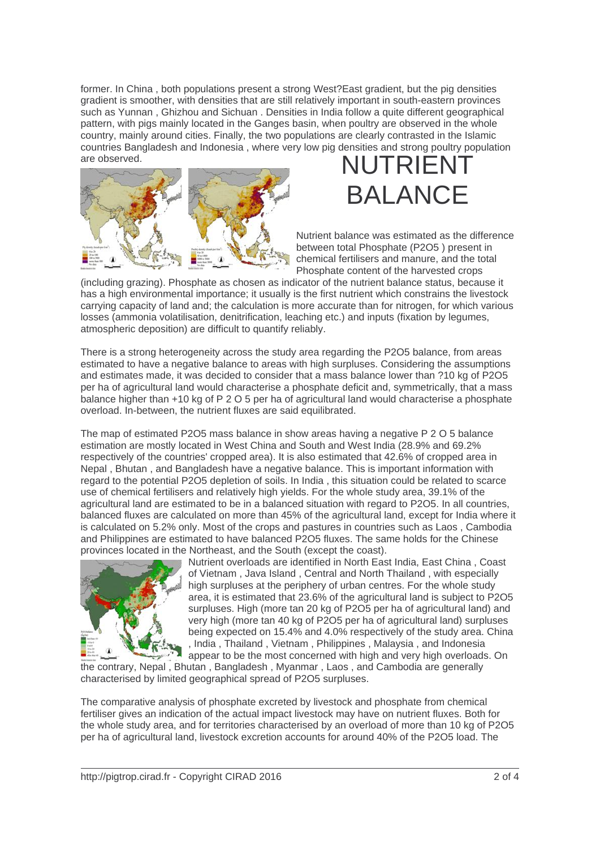former. In China , both populations present a strong West?East gradient, but the pig densities gradient is smoother, with densities that are still relatively important in south-eastern provinces such as Yunnan , Ghizhou and Sichuan . Densities in India follow a quite different geographical pattern, with pigs mainly located in the Ganges basin, when poultry are observed in the whole country, mainly around cities. Finally, the two populations are clearly contrasted in the Islamic countries Bangladesh and Indonesia , where very low pig densities and strong poultry population are observed. NUTRIEN



## BALANCE

Nutrient balance was estimated as the difference between total Phosphate (P2O5 ) present in chemical fertilisers and manure, and the total Phosphate content of the harvested crops

(including grazing). Phosphate as chosen as indicator of the nutrient balance status, because it has a high environmental importance; it usually is the first nutrient which constrains the livestock carrying capacity of land and; the calculation is more accurate than for nitrogen, for which various losses (ammonia volatilisation, denitrification, leaching etc.) and inputs (fixation by legumes, atmospheric deposition) are difficult to quantify reliably.

There is a strong heterogeneity across the study area regarding the P2O5 balance, from areas estimated to have a negative balance to areas with high surpluses. Considering the assumptions and estimates made, it was decided to consider that a mass balance lower than ?10 kg of P2O5 per ha of agricultural land would characterise a phosphate deficit and, symmetrically, that a mass balance higher than +10 kg of P 2 O 5 per ha of agricultural land would characterise a phosphate overload. In-between, the nutrient fluxes are said equilibrated.

The map of estimated P2O5 mass balance in show areas having a negative P 2 O 5 balance estimation are mostly located in West China and South and West India (28.9% and 69.2% respectively of the countries' cropped area). It is also estimated that 42.6% of cropped area in Nepal , Bhutan , and Bangladesh have a negative balance. This is important information with regard to the potential P2O5 depletion of soils. In India , this situation could be related to scarce use of chemical fertilisers and relatively high yields. For the whole study area, 39.1% of the agricultural land are estimated to be in a balanced situation with regard to P2O5. In all countries, balanced fluxes are calculated on more than 45% of the agricultural land, except for India where it is calculated on 5.2% only. Most of the crops and pastures in countries such as Laos , Cambodia and Philippines are estimated to have balanced P2O5 fluxes. The same holds for the Chinese provinces located in the Northeast, and the South (except the coast).



Nutrient overloads are identified in North East India, East China , Coast of Vietnam , Java Island , Central and North Thailand , with especially high surpluses at the periphery of urban centres. For the whole study area, it is estimated that 23.6% of the agricultural land is subject to P2O5 surpluses. High (more tan 20 kg of P2O5 per ha of agricultural land) and very high (more tan 40 kg of P2O5 per ha of agricultural land) surpluses being expected on 15.4% and 4.0% respectively of the study area. China , India , Thailand , Vietnam , Philippines , Malaysia , and Indonesia appear to be the most concerned with high and very high overloads. On

the contrary, Nepal , Bhutan , Bangladesh , Myanmar , Laos , and Cambodia are generally characterised by limited geographical spread of P2O5 surpluses.

The comparative analysis of phosphate excreted by livestock and phosphate from chemical fertiliser gives an indication of the actual impact livestock may have on nutrient fluxes. Both for the whole study area, and for territories characterised by an overload of more than 10 kg of P2O5 per ha of agricultural land, livestock excretion accounts for around 40% of the P2O5 load. The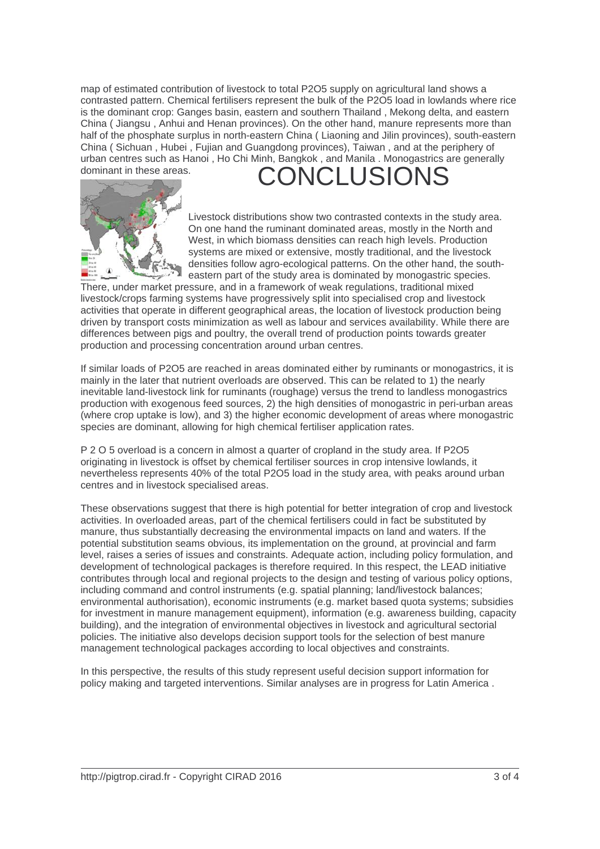map of estimated contribution of livestock to total P2O5 supply on agricultural land shows a contrasted pattern. Chemical fertilisers represent the bulk of the P2O5 load in lowlands where rice is the dominant crop: Ganges basin, eastern and southern Thailand , Mekong delta, and eastern China ( Jiangsu , Anhui and Henan provinces). On the other hand, manure represents more than half of the phosphate surplus in north-eastern China ( Liaoning and Jilin provinces), south-eastern China ( Sichuan , Hubei , Fujian and Guangdong provinces), Taiwan , and at the periphery of urban centres such as Hanoi , Ho Chi Minh, Bangkok , and Manila . Monogastrics are generally dominant in these areas. CONCLUSION



Livestock distributions show two contrasted contexts in the study area. On one hand the ruminant dominated areas, mostly in the North and West, in which biomass densities can reach high levels. Production systems are mixed or extensive, mostly traditional, and the livestock densities follow agro-ecological patterns. On the other hand, the southeastern part of the study area is dominated by monogastric species.

There, under market pressure, and in a framework of weak regulations, traditional mixed livestock/crops farming systems have progressively split into specialised crop and livestock activities that operate in different geographical areas, the location of livestock production being driven by transport costs minimization as well as labour and services availability. While there are differences between pigs and poultry, the overall trend of production points towards greater production and processing concentration around urban centres.

If similar loads of P2O5 are reached in areas dominated either by ruminants or monogastrics, it is mainly in the later that nutrient overloads are observed. This can be related to 1) the nearly inevitable land-livestock link for ruminants (roughage) versus the trend to landless monogastrics production with exogenous feed sources, 2) the high densities of monogastric in peri-urban areas (where crop uptake is low), and 3) the higher economic development of areas where monogastric species are dominant, allowing for high chemical fertiliser application rates.

P 2 O 5 overload is a concern in almost a quarter of cropland in the study area. If P2O5 originating in livestock is offset by chemical fertiliser sources in crop intensive lowlands, it nevertheless represents 40% of the total P2O5 load in the study area, with peaks around urban centres and in livestock specialised areas.

These observations suggest that there is high potential for better integration of crop and livestock activities. In overloaded areas, part of the chemical fertilisers could in fact be substituted by manure, thus substantially decreasing the environmental impacts on land and waters. If the potential substitution seams obvious, its implementation on the ground, at provincial and farm level, raises a series of issues and constraints. Adequate action, including policy formulation, and development of technological packages is therefore required. In this respect, the LEAD initiative contributes through local and regional projects to the design and testing of various policy options, including command and control instruments (e.g. spatial planning; land/livestock balances; environmental authorisation), economic instruments (e.g. market based quota systems; subsidies for investment in manure management equipment), information (e.g. awareness building, capacity building), and the integration of environmental objectives in livestock and agricultural sectorial policies. The initiative also develops decision support tools for the selection of best manure management technological packages according to local objectives and constraints.

In this perspective, the results of this study represent useful decision support information for policy making and targeted interventions. Similar analyses are in progress for Latin America .